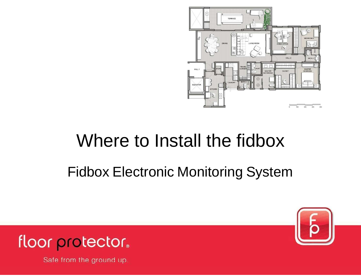

# Where to Install the fidbox

### Fidbox Electronic Monitoring System



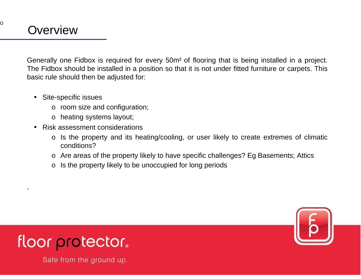.

O

Generally one Fidbox is required for every 50m² of flooring that is being installed in a project. The Fidbox should be installed in a position so that it is not under fitted furniture or carpets. Thisbasic rule should then be adjusted for:

- Site-specific issues
	- o room size and configuration;
	- o heating systems layout;
- Risk assessment considerations
	- o Is the property and its heating/cooling, or user likely to create extremes of climatic conditions?
	- o Are areas of the property likely to have specific challenges? Eg Basements; Attics
	- o Is the property likely to be unoccupied for long periods



### floor protector.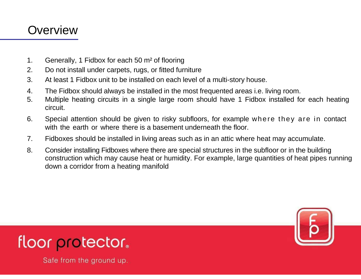### **Overview**

- 1. Generally, 1 Fidbox for each 50 m² of flooring
- 2. Do not install under carpets, rugs, or fitted furniture
- 3. At least 1 Fidbox unit to be installed on each level of a multi-story house.
- 4. The Fidbox should always be installed in the most frequented areas i.e. living room.
- 5. Multiple heating circuits in a single large room should have 1 Fidbox installed for each heating circuit.
- 6. Special attention should be given to risky subfloors, for example where they are in contact with the earth or where there is a basement underneath the floor.
- 7. Fidboxes should be installed in living areas such as in an attic where heat may accumulate.
- 8. Consider installing Fidboxes where there are special structures in the subfloor or in the building construction which may cause heat or humidity. For example, large quantities of heat pipes running down a corridor from a heating manifold



### floor protector.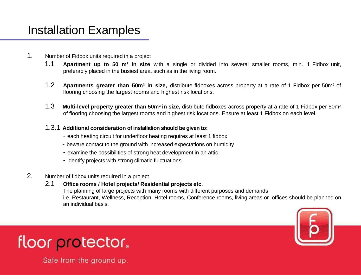# Installation Examples

- 1. Number of Fidbox units required in a project
	- 1.1 **Apartment up to 50 m² in size** with a single or divided into several smaller rooms, min. 1 Fidbox unit, preferably placed in the busiest area, such as in the living room.
	- 1.2 **Apartments greater than 50m² in size,** distribute fidboxes across property at a rate of 1 Fidbox per 50m² of flooring choosing the largest rooms and highest risk locations.
	- 1.3 **Multi-level property greater than 50m² in size,** distribute fidboxes across property at a rate of 1 Fidbox per 50m² of flooring choosing the largest rooms and highest risk locations. Ensure at least 1 Fidbox on each level.

#### 1.3.1 **Additional consideration of installation should be given to:**

- each heating circuit for underfloor heating requires at least 1 fidbox
- beware contact to the ground with increased expectations on humidity
- examine the possibilities of strong heat development in an attic
- identify projects with strong climatic fluctuations

#### 2. Number of fidbox units required in a project

#### 2.1 **Office rooms / Hotel projects/ Residential projects etc.**

The planning of large projects with many rooms with different purposes and demands i.e. Restaurant, Wellness, Reception, Hotel rooms, Conference rooms, living areas or offices should be planned on an individual basis.



### floor protector.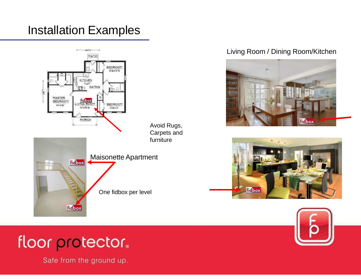## Installation Examples



### Living Room / Dining Room/Kitchen



### floor protector.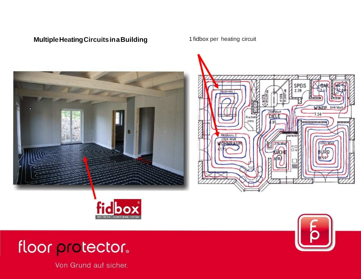#### **Multiple Heating Circuits in a Building Theory of the 1 fidbox per heating circuit**





SPEIS 2.28 **Przkreis**  $\frac{1}{11312}$ WINDF 944 Wat 284 Watt 7.56 Cartie ofen Heizkreis 2<br>2024 Watt *<u>Ferteile</u>* 1090 Wat **OHNDAH** IŘO





# floor protector.

Von Grund auf sicher.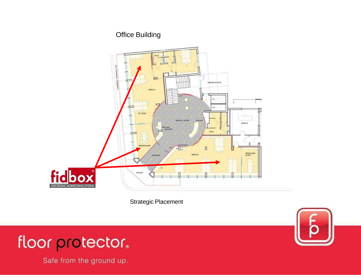### Office Building



Strategic Placement